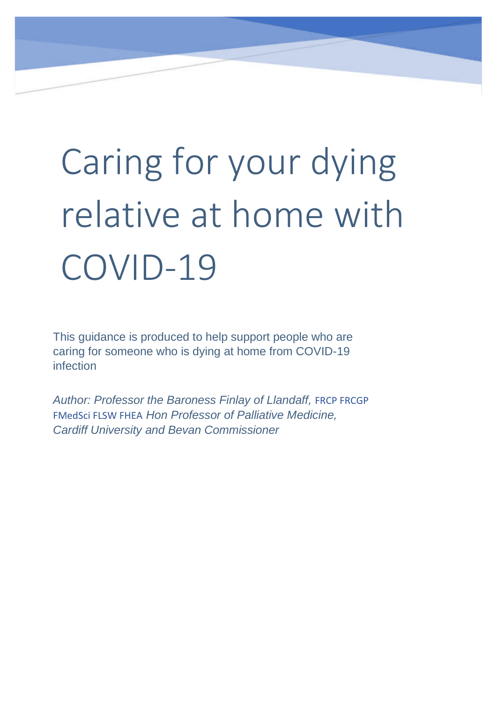# Caring for your dying relative at home with COVID-19

 This guidance is produced to help support people who are caring for someone who is dying at home from COVID-19 infection

*Author: Professor the Baroness Finlay of Llandaff,* FRCP FRCGP FMedSci FLSW FHEA *Hon Professor of Palliative Medicine, Cardiff University and Bevan Commissioner*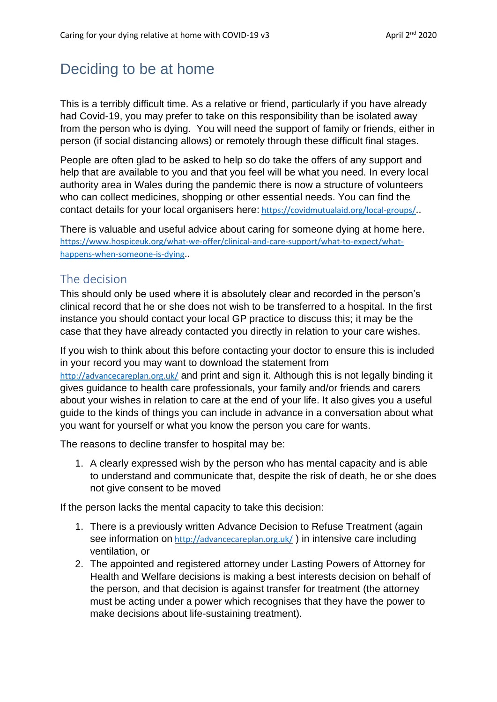## Deciding to be at home

This is a terribly difficult time. As a relative or friend, particularly if you have already had Covid-19, you may prefer to take on this responsibility than be isolated away from the person who is dying. You will need the support of family or friends, either in person (if social distancing allows) or remotely through these difficult final stages.

People are often glad to be asked to help so do take the offers of any support and help that are available to you and that you feel will be what you need. In every local authority area in Wales during the pandemic there is now a structure of volunteers who can collect medicines, shopping or other essential needs. You can find the contact details for your local organisers here: <https://covidmutualaid.org/local-groups/>..

There is valuable and useful advice about caring for someone dying at home here. [https://www.hospiceuk.org/what-we-offer/clinical-and-care-support/what-to-expect/what](https://www.hospiceuk.org/what-we-offer/clinical-and-care-support/what-to-expect/what-happens-when-someone-is-dying)[happens-when-someone-is-dying](https://www.hospiceuk.org/what-we-offer/clinical-and-care-support/what-to-expect/what-happens-when-someone-is-dying)..

#### The decision

This should only be used where it is absolutely clear and recorded in the person's clinical record that he or she does not wish to be transferred to a hospital. In the first instance you should contact your local GP practice to discuss this; it may be the case that they have already contacted you directly in relation to your care wishes.

If you wish to think about this before contacting your doctor to ensure this is included in your record you may want to download the statement from <http://advancecareplan.org.uk/> and print and sign it. Although this is not legally binding it gives guidance to health care professionals, your family and/or friends and carers about your wishes in relation to care at the end of your life. It also gives you a useful guide to the kinds of things you can include in advance in a conversation about what you want for yourself or what you know the person you care for wants.

The reasons to decline transfer to hospital may be:

1. A clearly expressed wish by the person who has mental capacity and is able to understand and communicate that, despite the risk of death, he or she does not give consent to be moved

If the person lacks the mental capacity to take this decision:

- 1. There is a previously written Advance Decision to Refuse Treatment (again see information on <http://advancecareplan.org.uk/>) in intensive care including ventilation, or
- 2. The appointed and registered attorney under Lasting Powers of Attorney for Health and Welfare decisions is making a best interests decision on behalf of the person, and that decision is against transfer for treatment (the attorney must be acting under a power which recognises that they have the power to make decisions about life-sustaining treatment).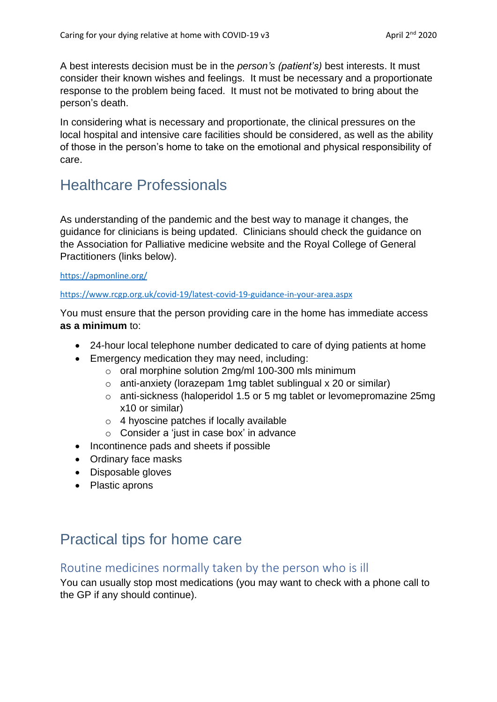A best interests decision must be in the *person's (patient's)* best interests. It must consider their known wishes and feelings. It must be necessary and a proportionate response to the problem being faced. It must not be motivated to bring about the person's death.

In considering what is necessary and proportionate, the clinical pressures on the local hospital and intensive care facilities should be considered, as well as the ability of those in the person's home to take on the emotional and physical responsibility of care.

## Healthcare Professionals

As understanding of the pandemic and the best way to manage it changes, the guidance for clinicians is being updated. Clinicians should check the guidance on the Association for Palliative medicine website and the Royal College of General Practitioners (links below).

#### <https://apmonline.org/>

<https://www.rcgp.org.uk/covid-19/latest-covid-19-guidance-in-your-area.aspx>

You must ensure that the person providing care in the home has immediate access **as a minimum** to:

- 24-hour local telephone number dedicated to care of dying patients at home
- Emergency medication they may need, including:
	- o oral morphine solution 2mg/ml 100-300 mls minimum
	- o anti-anxiety (lorazepam 1mg tablet sublingual x 20 or similar)
	- o anti-sickness (haloperidol 1.5 or 5 mg tablet or levomepromazine 25mg x10 or similar)
	- o 4 hyoscine patches if locally available
	- o Consider a 'just in case box' in advance
- Incontinence pads and sheets if possible
- Ordinary face masks
- Disposable gloves
- Plastic aprons

## Practical tips for home care

#### Routine medicines normally taken by the person who is ill

You can usually stop most medications (you may want to check with a phone call to the GP if any should continue).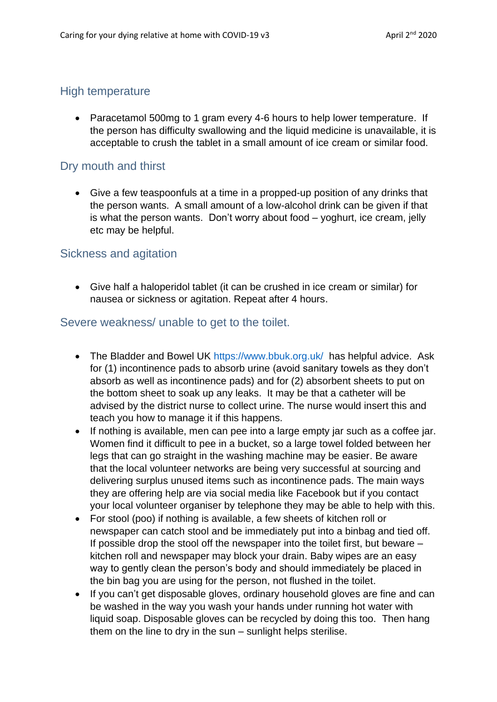#### High temperature

• Paracetamol 500mg to 1 gram every 4-6 hours to help lower temperature. If the person has difficulty swallowing and the liquid medicine is unavailable, it is acceptable to crush the tablet in a small amount of ice cream or similar food.

#### Dry mouth and thirst

• Give a few teaspoonfuls at a time in a propped-up position of any drinks that the person wants. A small amount of a low-alcohol drink can be given if that is what the person wants. Don't worry about food – yoghurt, ice cream, jelly etc may be helpful.

#### Sickness and agitation

• Give half a haloperidol tablet (it can be crushed in ice cream or similar) for nausea or sickness or agitation. Repeat after 4 hours.

#### Severe weakness/ unable to get to the toilet.

- The Bladder and Bowel UK<https://www.bbuk.org.uk/>has helpful advice. Ask for (1) incontinence pads to absorb urine (avoid sanitary towels as they don't absorb as well as incontinence pads) and for (2) absorbent sheets to put on the bottom sheet to soak up any leaks. It may be that a catheter will be advised by the district nurse to collect urine. The nurse would insert this and teach you how to manage it if this happens.
- If nothing is available, men can pee into a large empty jar such as a coffee jar. Women find it difficult to pee in a bucket, so a large towel folded between her legs that can go straight in the washing machine may be easier. Be aware that the local volunteer networks are being very successful at sourcing and delivering surplus unused items such as incontinence pads. The main ways they are offering help are via social media like Facebook but if you contact your local volunteer organiser by telephone they may be able to help with this.
- For stool (poo) if nothing is available, a few sheets of kitchen roll or newspaper can catch stool and be immediately put into a binbag and tied off. If possible drop the stool off the newspaper into the toilet first, but beware – kitchen roll and newspaper may block your drain. Baby wipes are an easy way to gently clean the person's body and should immediately be placed in the bin bag you are using for the person, not flushed in the toilet.
- If you can't get disposable gloves, ordinary household gloves are fine and can be washed in the way you wash your hands under running hot water with liquid soap. Disposable gloves can be recycled by doing this too. Then hang them on the line to dry in the sun – sunlight helps sterilise.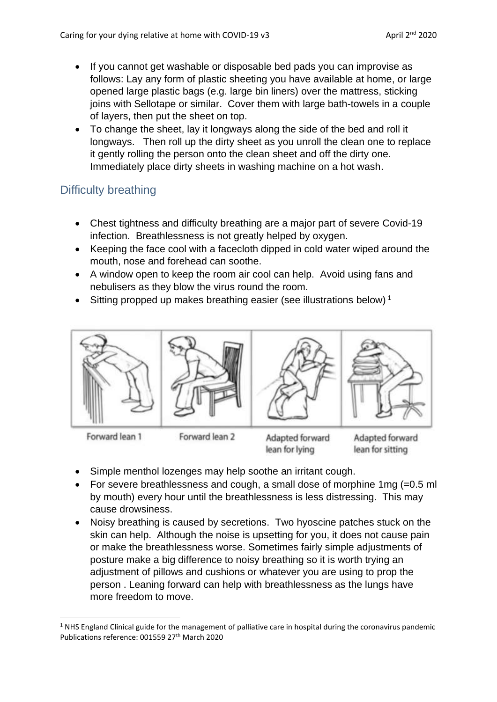- If you cannot get washable or disposable bed pads you can improvise as follows: Lay any form of plastic sheeting you have available at home, or large opened large plastic bags (e.g. large bin liners) over the mattress, sticking joins with Sellotape or similar. Cover them with large bath-towels in a couple of layers, then put the sheet on top.
- To change the sheet, lay it longways along the side of the bed and roll it longways. Then roll up the dirty sheet as you unroll the clean one to replace it gently rolling the person onto the clean sheet and off the dirty one. Immediately place dirty sheets in washing machine on a hot wash.

### Difficulty breathing

- Chest tightness and difficulty breathing are a major part of severe Covid-19 infection. Breathlessness is not greatly helped by oxygen.
- Keeping the face cool with a facecloth dipped in cold water wiped around the mouth, nose and forehead can soothe.
- A window open to keep the room air cool can help. Avoid using fans and nebulisers as they blow the virus round the room.
- Sitting propped up makes breathing easier (see illustrations below)<sup>1</sup>



Forward lean 1

Forward lean 2

Adapted forward lean for lying

Adapted forward lean for sitting

- Simple menthol lozenges may help soothe an irritant cough.
- For severe breathlessness and cough, a small dose of morphine 1mg (=0.5 ml by mouth) every hour until the breathlessness is less distressing. This may cause drowsiness.
- Noisy breathing is caused by secretions. Two hyoscine patches stuck on the skin can help. Although the noise is upsetting for you, it does not cause pain or make the breathlessness worse. Sometimes fairly simple adjustments of posture make a big difference to noisy breathing so it is worth trying an adjustment of pillows and cushions or whatever you are using to prop the person . Leaning forward can help with breathlessness as the lungs have more freedom to move.

 $1$  NHS England Clinical guide for the management of palliative care in hospital during the coronavirus pandemic Publications reference: 001559 27<sup>th</sup> March 2020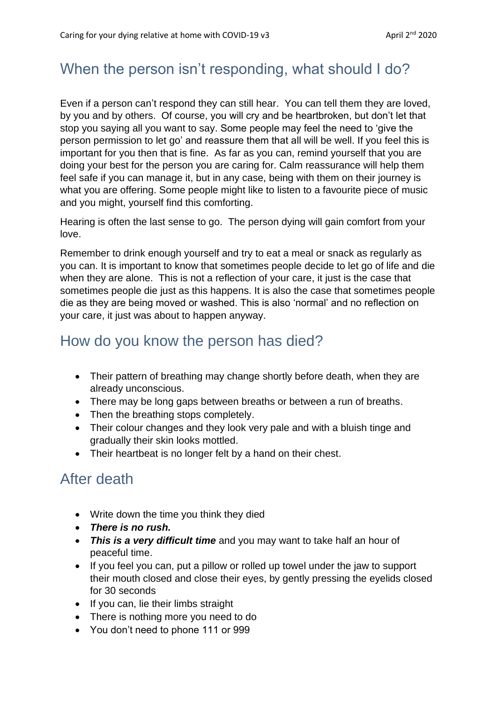## When the person isn't responding, what should I do?

Even if a person can't respond they can still hear. You can tell them they are loved, by you and by others. Of course, you will cry and be heartbroken, but don't let that stop you saying all you want to say. Some people may feel the need to 'give the person permission to let go' and reassure them that all will be well. If you feel this is important for you then that is fine. As far as you can, remind yourself that you are doing your best for the person you are caring for. Calm reassurance will help them feel safe if you can manage it, but in any case, being with them on their journey is what you are offering. Some people might like to listen to a favourite piece of music and you might, yourself find this comforting.

Hearing is often the last sense to go. The person dying will gain comfort from your love.

Remember to drink enough yourself and try to eat a meal or snack as regularly as you can. It is important to know that sometimes people decide to let go of life and die when they are alone. This is not a reflection of your care, it just is the case that sometimes people die just as this happens. It is also the case that sometimes people die as they are being moved or washed. This is also 'normal' and no reflection on your care, it just was about to happen anyway.

## How do you know the person has died?

- Their pattern of breathing may change shortly before death, when they are already unconscious.
- There may be long gaps between breaths or between a run of breaths.
- Then the breathing stops completely.
- Their colour changes and they look very pale and with a bluish tinge and gradually their skin looks mottled.
- Their heartbeat is no longer felt by a hand on their chest.

## After death

- Write down the time you think they died
- *There is no rush.*
- *This is a very difficult time* and you may want to take half an hour of peaceful time.
- If you feel you can, put a pillow or rolled up towel under the jaw to support their mouth closed and close their eyes, by gently pressing the eyelids closed for 30 seconds
- If you can, lie their limbs straight
- There is nothing more you need to do
- You don't need to phone 111 or 999